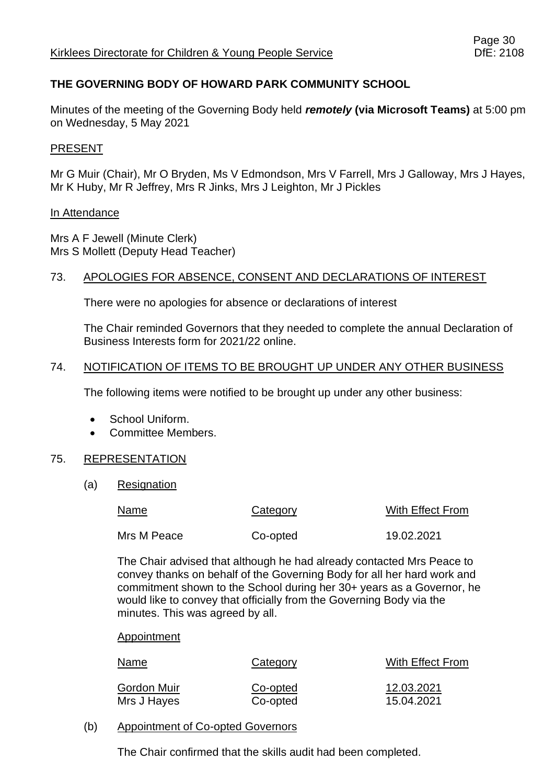# **THE GOVERNING BODY OF HOWARD PARK COMMUNITY SCHOOL**

Minutes of the meeting of the Governing Body held *remotely* **(via Microsoft Teams)** at 5:00 pm on Wednesday, 5 May 2021

### PRESENT

Mr G Muir (Chair), Mr O Bryden, Ms V Edmondson, Mrs V Farrell, Mrs J Galloway, Mrs J Hayes, Mr K Huby, Mr R Jeffrey, Mrs R Jinks, Mrs J Leighton, Mr J Pickles

#### In Attendance

Mrs A F Jewell (Minute Clerk) Mrs S Mollett (Deputy Head Teacher)

### 73. APOLOGIES FOR ABSENCE, CONSENT AND DECLARATIONS OF INTEREST

There were no apologies for absence or declarations of interest

The Chair reminded Governors that they needed to complete the annual Declaration of Business Interests form for 2021/22 online.

### 74. NOTIFICATION OF ITEMS TO BE BROUGHT UP UNDER ANY OTHER BUSINESS

The following items were notified to be brought up under any other business:

- School Uniform.
- Committee Members.

#### 75. REPRESENTATION

(a) Resignation

| Name        | Category | With Effect From |
|-------------|----------|------------------|
| Mrs M Peace | Co-opted | 19.02.2021       |

The Chair advised that although he had already contacted Mrs Peace to convey thanks on behalf of the Governing Body for all her hard work and commitment shown to the School during her 30+ years as a Governor, he would like to convey that officially from the Governing Body via the minutes. This was agreed by all.

#### Appointment

| Name        | Category | With Effect From |
|-------------|----------|------------------|
| Gordon Muir | Co-opted | 12.03.2021       |
| Mrs J Hayes | Co-opted | 15.04.2021       |

(b) Appointment of Co-opted Governors

The Chair confirmed that the skills audit had been completed.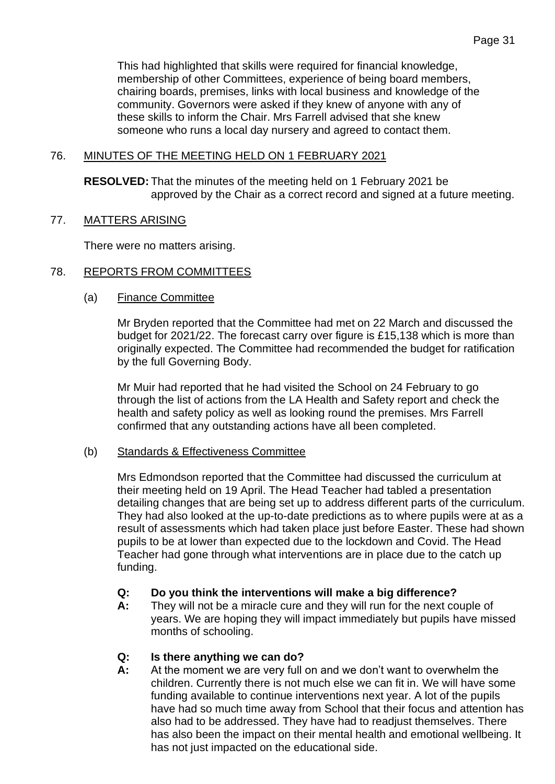This had highlighted that skills were required for financial knowledge, membership of other Committees, experience of being board members, chairing boards, premises, links with local business and knowledge of the community. Governors were asked if they knew of anyone with any of these skills to inform the Chair. Mrs Farrell advised that she knew someone who runs a local day nursery and agreed to contact them.

# 76. MINUTES OF THE MEETING HELD ON 1 FEBRUARY 2021

**RESOLVED:** That the minutes of the meeting held on 1 February 2021 be approved by the Chair as a correct record and signed at a future meeting.

# 77. MATTERS ARISING

There were no matters arising.

# 78. REPORTS FROM COMMITTEES

# (a) Finance Committee

Mr Bryden reported that the Committee had met on 22 March and discussed the budget for 2021/22. The forecast carry over figure is £15,138 which is more than originally expected. The Committee had recommended the budget for ratification by the full Governing Body.

Mr Muir had reported that he had visited the School on 24 February to go through the list of actions from the LA Health and Safety report and check the health and safety policy as well as looking round the premises. Mrs Farrell confirmed that any outstanding actions have all been completed.

# (b) Standards & Effectiveness Committee

Mrs Edmondson reported that the Committee had discussed the curriculum at their meeting held on 19 April. The Head Teacher had tabled a presentation detailing changes that are being set up to address different parts of the curriculum. They had also looked at the up-to-date predictions as to where pupils were at as a result of assessments which had taken place just before Easter. These had shown pupils to be at lower than expected due to the lockdown and Covid. The Head Teacher had gone through what interventions are in place due to the catch up funding.

# **Q: Do you think the interventions will make a big difference?**

**A:** They will not be a miracle cure and they will run for the next couple of years. We are hoping they will impact immediately but pupils have missed months of schooling.

# **Q: Is there anything we can do?**

**A:** At the moment we are very full on and we don't want to overwhelm the children. Currently there is not much else we can fit in. We will have some funding available to continue interventions next year. A lot of the pupils have had so much time away from School that their focus and attention has also had to be addressed. They have had to readjust themselves. There has also been the impact on their mental health and emotional wellbeing. It has not just impacted on the educational side.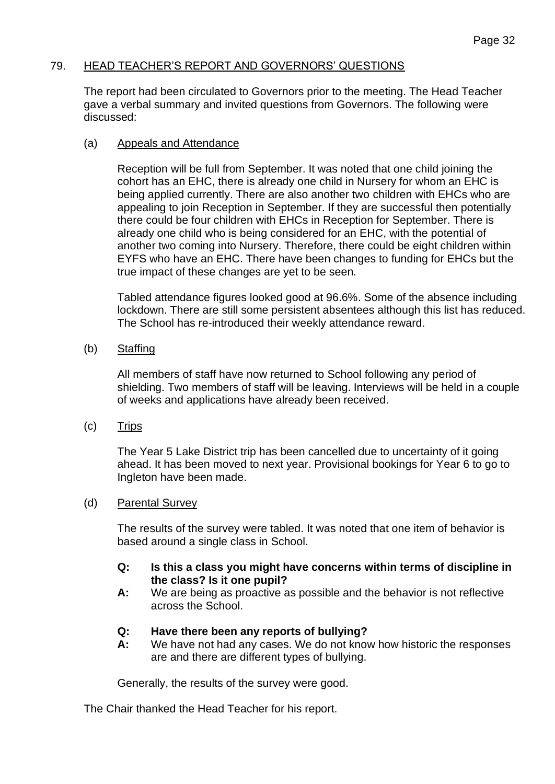### 79. HEAD TEACHER'S REPORT AND GOVERNORS' QUESTIONS

The report had been circulated to Governors prior to the meeting. The Head Teacher gave a verbal summary and invited questions from Governors. The following were discussed:

### (a) Appeals and Attendance

Reception will be full from September. It was noted that one child joining the cohort has an EHC, there is already one child in Nursery for whom an EHC is being applied currently. There are also another two children with EHCs who are appealing to join Reception in September. If they are successful then potentially there could be four children with EHCs in Reception for September. There is already one child who is being considered for an EHC, with the potential of another two coming into Nursery. Therefore, there could be eight children within EYFS who have an EHC. There have been changes to funding for EHCs but the true impact of these changes are yet to be seen.

Tabled attendance figures looked good at 96.6%. Some of the absence including lockdown. There are still some persistent absentees although this list has reduced. The School has re-introduced their weekly attendance reward.

(b) Staffing

All members of staff have now returned to School following any period of shielding. Two members of staff will be leaving. Interviews will be held in a couple of weeks and applications have already been received.

(c) Trips

The Year 5 Lake District trip has been cancelled due to uncertainty of it going ahead. It has been moved to next year. Provisional bookings for Year 6 to go to Ingleton have been made.

#### (d) Parental Survey

The results of the survey were tabled. It was noted that one item of behavior is based around a single class in School.

- **Q: Is this a class you might have concerns within terms of discipline in the class? Is it one pupil?**
- **A:** We are being as proactive as possible and the behavior is not reflective across the School.

# **Q: Have there been any reports of bullying?**

**A:** We have not had any cases. We do not know how historic the responses are and there are different types of bullying.

Generally, the results of the survey were good.

The Chair thanked the Head Teacher for his report.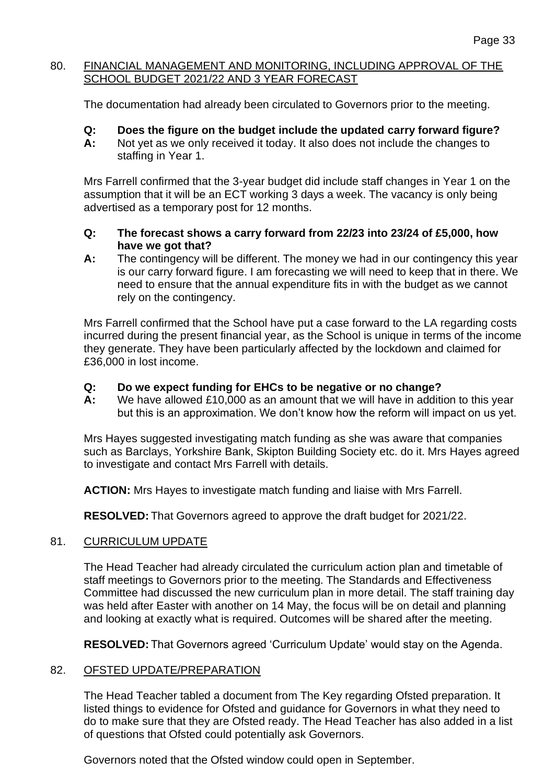# 80. FINANCIAL MANAGEMENT AND MONITORING, INCLUDING APPROVAL OF THE SCHOOL BUDGET 2021/22 AND 3 YEAR FORECAST

The documentation had already been circulated to Governors prior to the meeting.

- **Q: Does the figure on the budget include the updated carry forward figure?**
- **A:** Not yet as we only received it today. It also does not include the changes to staffing in Year 1.

Mrs Farrell confirmed that the 3-year budget did include staff changes in Year 1 on the assumption that it will be an ECT working 3 days a week. The vacancy is only being advertised as a temporary post for 12 months.

- **Q: The forecast shows a carry forward from 22/23 into 23/24 of £5,000, how have we got that?**
- **A:** The contingency will be different. The money we had in our contingency this year is our carry forward figure. I am forecasting we will need to keep that in there. We need to ensure that the annual expenditure fits in with the budget as we cannot rely on the contingency.

Mrs Farrell confirmed that the School have put a case forward to the LA regarding costs incurred during the present financial year, as the School is unique in terms of the income they generate. They have been particularly affected by the lockdown and claimed for £36,000 in lost income.

# **Q: Do we expect funding for EHCs to be negative or no change?**

**A:** We have allowed £10,000 as an amount that we will have in addition to this year but this is an approximation. We don't know how the reform will impact on us yet.

Mrs Hayes suggested investigating match funding as she was aware that companies such as Barclays, Yorkshire Bank, Skipton Building Society etc. do it. Mrs Hayes agreed to investigate and contact Mrs Farrell with details.

**ACTION:** Mrs Hayes to investigate match funding and liaise with Mrs Farrell.

**RESOLVED:** That Governors agreed to approve the draft budget for 2021/22.

# 81. CURRICULUM UPDATE

The Head Teacher had already circulated the curriculum action plan and timetable of staff meetings to Governors prior to the meeting. The Standards and Effectiveness Committee had discussed the new curriculum plan in more detail. The staff training day was held after Easter with another on 14 May, the focus will be on detail and planning and looking at exactly what is required. Outcomes will be shared after the meeting.

**RESOLVED:** That Governors agreed 'Curriculum Update' would stay on the Agenda.

# 82. OFSTED UPDATE/PREPARATION

The Head Teacher tabled a document from The Key regarding Ofsted preparation. It listed things to evidence for Ofsted and guidance for Governors in what they need to do to make sure that they are Ofsted ready. The Head Teacher has also added in a list of questions that Ofsted could potentially ask Governors.

Governors noted that the Ofsted window could open in September.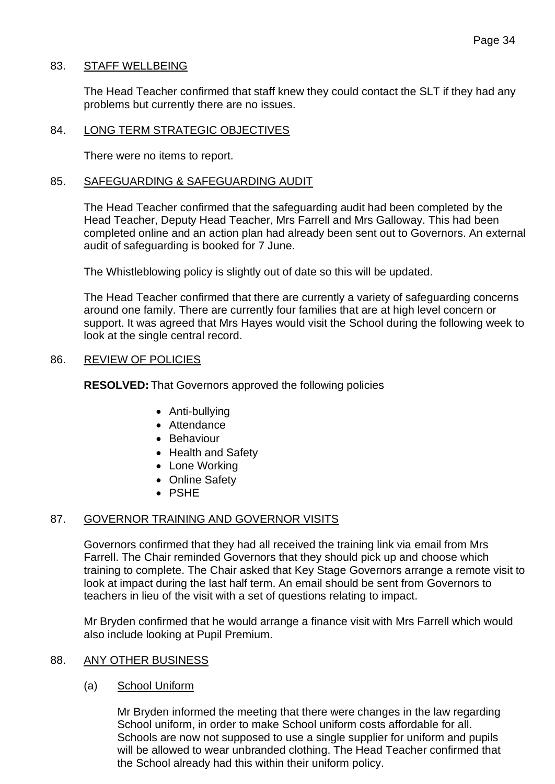### 83. STAFF WELLBEING

The Head Teacher confirmed that staff knew they could contact the SLT if they had any problems but currently there are no issues.

### 84. LONG TERM STRATEGIC OBJECTIVES

There were no items to report.

### 85. SAFEGUARDING & SAFEGUARDING AUDIT

The Head Teacher confirmed that the safeguarding audit had been completed by the Head Teacher, Deputy Head Teacher, Mrs Farrell and Mrs Galloway. This had been completed online and an action plan had already been sent out to Governors. An external audit of safeguarding is booked for 7 June.

The Whistleblowing policy is slightly out of date so this will be updated.

The Head Teacher confirmed that there are currently a variety of safeguarding concerns around one family. There are currently four families that are at high level concern or support. It was agreed that Mrs Hayes would visit the School during the following week to look at the single central record.

### 86. REVIEW OF POLICIES

**RESOLVED:** That Governors approved the following policies

- Anti-bullying
- Attendance
- Behaviour
- Health and Safety
- Lone Working
- Online Safety
- PSHE

# 87. GOVERNOR TRAINING AND GOVERNOR VISITS

Governors confirmed that they had all received the training link via email from Mrs Farrell. The Chair reminded Governors that they should pick up and choose which training to complete. The Chair asked that Key Stage Governors arrange a remote visit to look at impact during the last half term. An email should be sent from Governors to teachers in lieu of the visit with a set of questions relating to impact.

Mr Bryden confirmed that he would arrange a finance visit with Mrs Farrell which would also include looking at Pupil Premium.

#### 88. ANY OTHER BUSINESS

# (a) School Uniform

Mr Bryden informed the meeting that there were changes in the law regarding School uniform, in order to make School uniform costs affordable for all. Schools are now not supposed to use a single supplier for uniform and pupils will be allowed to wear unbranded clothing. The Head Teacher confirmed that the School already had this within their uniform policy.